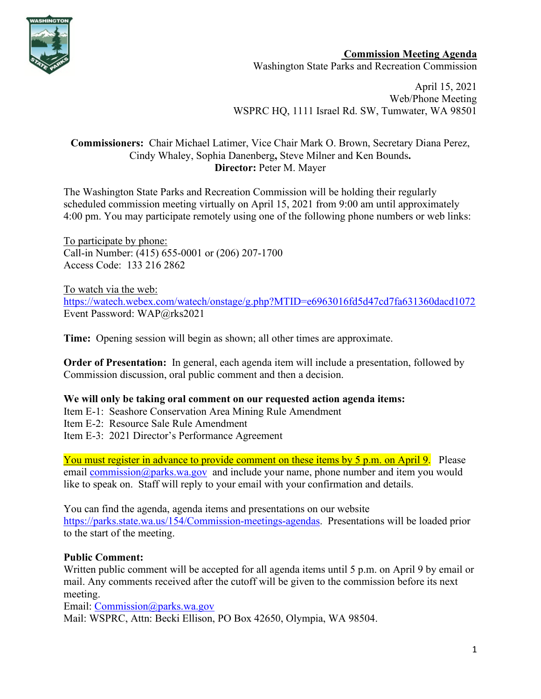

**Commission Meeting Agenda** Washington State Parks and Recreation Commission

April 15, 2021 Web/Phone Meeting WSPRC HQ, 1111 Israel Rd. SW, Tumwater, WA 98501

# **Commissioners:** Chair Michael Latimer, Vice Chair Mark O. Brown, Secretary Diana Perez, Cindy Whaley, Sophia Danenberg**,** Steve Milner and Ken Bounds**. Director:** Peter M. Mayer

The Washington State Parks and Recreation Commission will be holding their regularly scheduled commission meeting virtually on April 15, 2021 from 9:00 am until approximately 4:00 pm. You may participate remotely using one of the following phone numbers or web links:

To participate by phone: Call-in Number: (415) 655-0001 or (206) 207-1700 Access Code: 133 216 2862

To watch via the web: [https://watech.webex.com/watech/onstage/g.php?MTID=e6963016fd5d47cd7fa631360dacd1072](https://gcc02.safelinks.protection.outlook.com/?url=https%3A%2F%2Fwatech.webex.com%2Fwatech%2Fonstage%2Fg.php%3FMTID%3De6963016fd5d47cd7fa631360dacd1072&data=04%7C01%7CBecki.Ellison%40parks.wa.gov%7Cf908455172f341a6dbc008d8efc293c0%7C11d0e217264e400a8ba057dcc127d72d%7C0%7C0%7C637522966263782299%7CUnknown%7CTWFpbGZsb3d8eyJWIjoiMC4wLjAwMDAiLCJQIjoiV2luMzIiLCJBTiI6Ik1haWwiLCJXVCI6Mn0%3D%7C1000&sdata=Jm8SwbXedx%2B00X8%2BcVxPPVhiL4vJSsKGDMLcYVJJpp4%3D&reserved=0) Event Password: WAP@rks2021

**Time:** Opening session will begin as shown; all other times are approximate.

**Order of Presentation:** In general, each agenda item will include a presentation, followed by Commission discussion, oral public comment and then a decision.

# **We will only be taking oral comment on our requested action agenda items:**

Item E-1: Seashore Conservation Area Mining Rule Amendment

Item E-2: Resource Sale Rule Amendment

Item E-3: 2021 Director's Performance Agreement

You must register in advance to provide comment on these items by 5 p.m. on April 9. Please email [commission@parks.wa.gov](mailto:commission@parks.wa.gov) and include your name, phone number and item you would like to speak on. Staff will reply to your email with your confirmation and details.

You can find the agenda, agenda items and presentations on our website [https://parks.state.wa.us/154/Commission-meetings-agendas.](https://parks.state.wa.us/154/Commission-meetings-agendas) Presentations will be loaded prior to the start of the meeting.

# **Public Comment:**

Written public comment will be accepted for all agenda items until 5 p.m. on April 9 by email or mail. Any comments received after the cutoff will be given to the commission before its next meeting.

Email: [Commission@parks.wa.gov](mailto:Commission@parks.wa.gov) 

Mail: WSPRC, Attn: Becki Ellison, PO Box 42650, Olympia, WA 98504.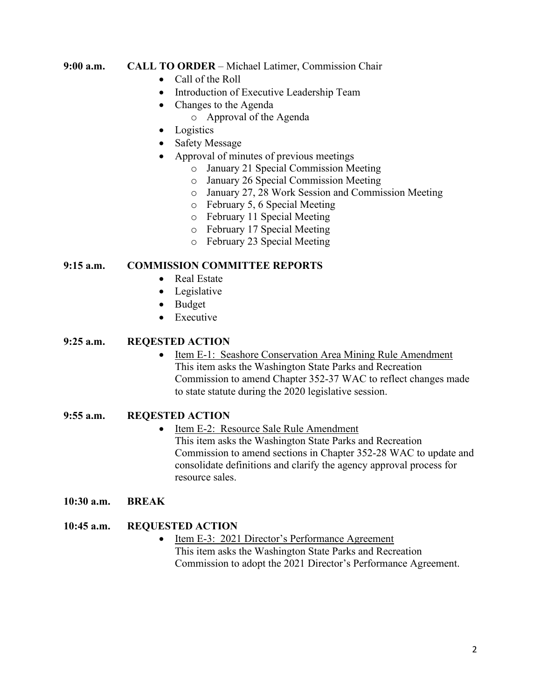### **9:00 a.m. CALL TO ORDER** – Michael Latimer, Commission Chair

- Call of the Roll
- Introduction of Executive Leadership Team
- Changes to the Agenda
	- o Approval of the Agenda
- Logistics
- Safety Message
- Approval of minutes of previous meetings
	- o January 21 Special Commission Meeting
	- o January 26 Special Commission Meeting
	- o January 27, 28 Work Session and Commission Meeting
	- o February 5, 6 Special Meeting
	- o February 11 Special Meeting
	- o February 17 Special Meeting
	- o February 23 Special Meeting

#### **9:15 a.m. COMMISSION COMMITTEE REPORTS**

- Real Estate
- Legislative
- Budget
- Executive

#### **9:25 a.m. REQESTED ACTION**

• Item E-1: Seashore Conservation Area Mining Rule Amendment This item asks the Washington State Parks and Recreation Commission to amend Chapter 352-37 WAC to reflect changes made to state statute during the 2020 legislative session.

### **9:55 a.m. REQESTED ACTION**

- Item E-2: Resource Sale Rule Amendment This item asks the Washington State Parks and Recreation Commission to amend sections in Chapter 352-28 WAC to update and consolidate definitions and clarify the agency approval process for resource sales.
- **10:30 a.m. BREAK**

### **10:45 a.m. REQUESTED ACTION**

• Item E-3: 2021 Director's Performance Agreement This item asks the Washington State Parks and Recreation Commission to adopt the 2021 Director's Performance Agreement.